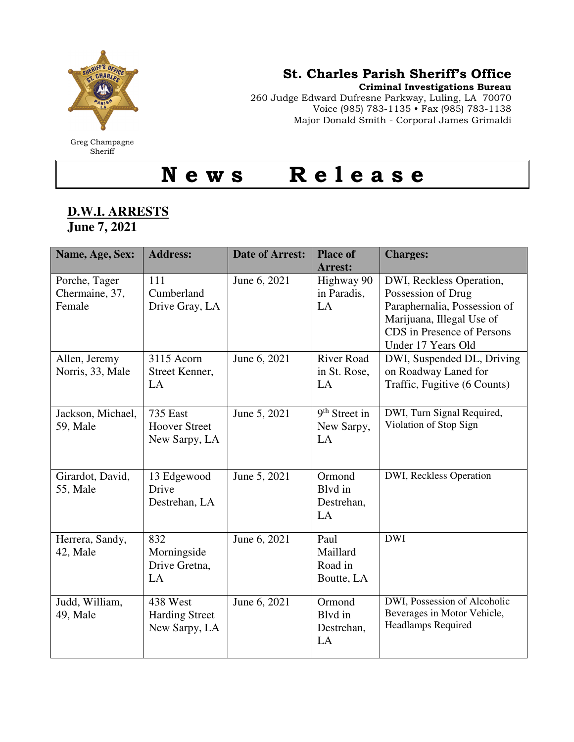

## St. Charles Parish Sheriff's Office

Criminal Investigations Bureau

260 Judge Edward Dufresne Parkway, Luling, LA 70070 Voice (985) 783-1135 • Fax (985) 783-1138 Major Donald Smith - Corporal James Grimaldi

N e w s R e l e a s e

## **D.W.I. ARRESTS June 7, 2021**

| Name, Age, Sex:                           | <b>Address:</b>                                          | <b>Date of Arrest:</b> | <b>Place of</b><br>Arrest:                | <b>Charges:</b>                                                                                                                                                 |
|-------------------------------------------|----------------------------------------------------------|------------------------|-------------------------------------------|-----------------------------------------------------------------------------------------------------------------------------------------------------------------|
| Porche, Tager<br>Chermaine, 37,<br>Female | 111<br>Cumberland<br>Drive Gray, LA                      | June 6, 2021           | Highway 90<br>in Paradis,<br>LA           | DWI, Reckless Operation,<br>Possession of Drug<br>Paraphernalia, Possession of<br>Marijuana, Illegal Use of<br>CDS in Presence of Persons<br>Under 17 Years Old |
| Allen, Jeremy<br>Norris, 33, Male         | 3115 Acorn<br>Street Kenner,<br>LA                       | June 6, 2021           | <b>River Road</b><br>in St. Rose,<br>LA   | DWI, Suspended DL, Driving<br>on Roadway Laned for<br>Traffic, Fugitive (6 Counts)                                                                              |
| Jackson, Michael,<br>59, Male             | <b>735 East</b><br><b>Hoover Street</b><br>New Sarpy, LA | June 5, 2021           | $9th$ Street in<br>New Sarpy,<br>LA       | DWI, Turn Signal Required,<br>Violation of Stop Sign                                                                                                            |
| Girardot, David,<br>55, Male              | 13 Edgewood<br>Drive<br>Destrehan, LA                    | June 5, 2021           | Ormond<br>Blyd in<br>Destrehan,<br>LA     | DWI, Reckless Operation                                                                                                                                         |
| Herrera, Sandy,<br>42, Male               | 832<br>Morningside<br>Drive Gretna,<br>LA                | June 6, 2021           | Paul<br>Maillard<br>Road in<br>Boutte, LA | <b>DWI</b>                                                                                                                                                      |
| Judd, William,<br>49, Male                | 438 West<br><b>Harding Street</b><br>New Sarpy, LA       | June 6, 2021           | Ormond<br>Blyd in<br>Destrehan,<br>LA     | DWI, Possession of Alcoholic<br>Beverages in Motor Vehicle,<br><b>Headlamps Required</b>                                                                        |

Greg Champagne Sheriff